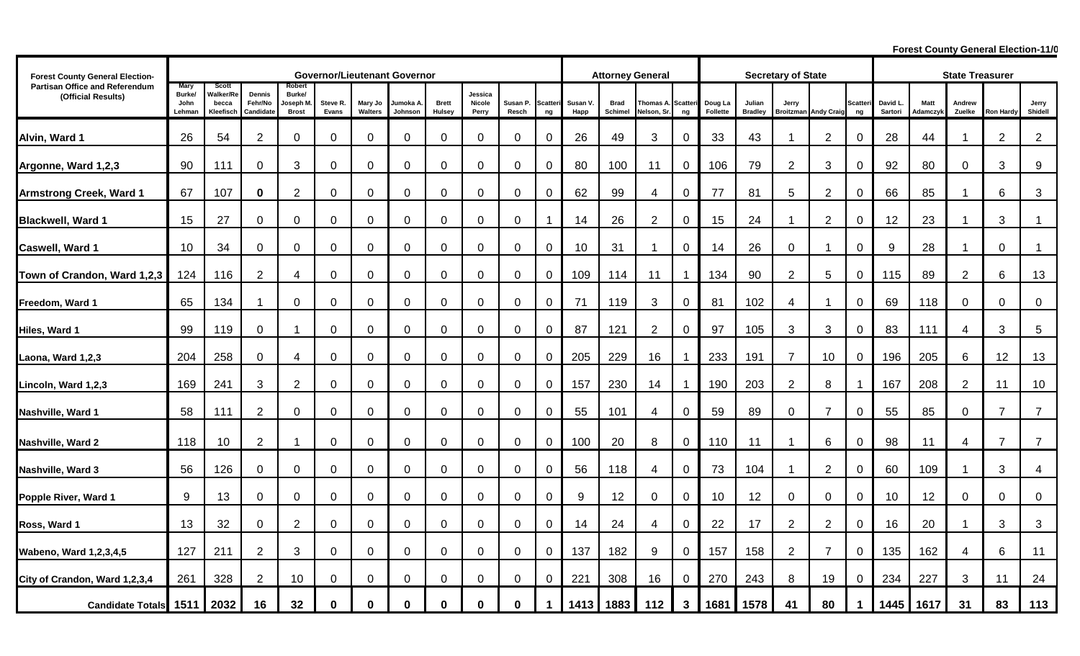**Forest County General Election-11/0** 

| <b>Forest County General Election-</b>               | <b>Governor/Lieutenant Governor</b>     |                                                 |                                |                                              |                   |                    |                     |                        |                            |                  |                       | <b>Attorney General</b> |                 |                        |                       | <b>Secretary of State</b> |                          |                                      |                |                | <b>State Treasurer</b> |                         |                  |                  |                  |
|------------------------------------------------------|-----------------------------------------|-------------------------------------------------|--------------------------------|----------------------------------------------|-------------------|--------------------|---------------------|------------------------|----------------------------|------------------|-----------------------|-------------------------|-----------------|------------------------|-----------------------|---------------------------|--------------------------|--------------------------------------|----------------|----------------|------------------------|-------------------------|------------------|------------------|------------------|
| Partisan Office and Referendum<br>(Official Results) | <b>Mary</b><br>Burke/<br>John<br>Lehman | <b>Scott</b><br>Valker/Re<br>becca<br>Kleefisch | Dennis<br>Fehr/No<br>Candidate | Robert<br>Burke/<br>Joseph M<br><b>Brost</b> | Steve R.<br>Evans | Mary Jo<br>Walters | Jumoka A<br>Johnson | <b>Brett</b><br>Hulsey | Jessica<br>Nicole<br>Perry | Susan P<br>Resch | <b>Scatteri</b><br>ng | Susan V<br>Happ         | Brad<br>Schimel | Thomas A<br>Nelson, Sr | <b>Scatteri</b><br>ng | Doug La<br>Follette       | Julian<br><b>Bradley</b> | Jerry<br><b>Broitzman Andy Craig</b> |                | Scatteri<br>ng | David L<br>Sartori     | <b>Matt</b><br>Adamczyk | Andrew<br>Zuelke | <b>Ron Hardy</b> | Jerry<br>Shidell |
| Alvin, Ward 1                                        | 26                                      | 54                                              | $\overline{2}$                 | $\mathbf 0$                                  | $\mathbf 0$       | $\mathbf 0$        | $\mathbf 0$         | $\mathbf 0$            | $\overline{0}$             | $\mathbf 0$      | 0                     | 26                      | 49              | 3                      | $\mathbf 0$           | 33                        | 43                       | -1                                   | $\overline{2}$ | $\mathbf 0$    | 28                     | 44                      | $\mathbf{1}$     | $\overline{2}$   | $\overline{2}$   |
| Argonne, Ward 1,2,3                                  | 90                                      | 111                                             | $\mathbf 0$                    | 3                                            | $\mathbf 0$       | $\mathbf 0$        | 0                   | $\mathbf 0$            | $\mathbf 0$                | 0                | 0                     | 80                      | 100             | 11                     | $\mathbf 0$           | 106                       | 79                       | $\overline{c}$                       | 3              | 0              | 92                     | 80                      | $\mathbf 0$      | 3                | $9\,$            |
| <b>Armstrong Creek, Ward 1</b>                       | 67                                      | 107                                             | $\mathbf 0$                    | $\overline{c}$                               | $\mathbf 0$       | $\mathbf 0$        | 0                   | $\mathbf 0$            | $\mathbf 0$                | 0                | 0                     | 62                      | 99              | 4                      | 0                     | 77                        | 81                       | 5                                    | $\overline{2}$ | $\mathbf 0$    | 66                     | 85                      | -1               | 6                | 3                |
| <b>Blackwell, Ward 1</b>                             | 15                                      | 27                                              | $\mathbf 0$                    | $\mathbf 0$                                  | $\mathbf 0$       | $\mathbf 0$        | 0                   | $\mathbf 0$            | $\mathbf 0$                | 0                | -1                    | 14                      | 26              | $\overline{2}$         | $\mathbf 0$           | 15                        | 24                       |                                      | $\overline{2}$ | 0              | 12                     | 23                      | $\mathbf 1$      | 3                | 1                |
| Caswell, Ward 1                                      | 10                                      | 34                                              | $\mathbf 0$                    | $\mathbf 0$                                  | $\mathbf 0$       | $\mathbf 0$        | 0                   | $\mathbf 0$            | $\mathbf 0$                | 0                | $\mathbf 0$           | 10                      | 31              | -1                     | $\mathbf 0$           | 14                        | 26                       | 0                                    |                | $\mathbf 0$    | 9                      | 28                      | -1               | 0                | -1               |
| Town of Crandon, Ward 1,2,3                          | 124                                     | 116                                             | $\overline{2}$                 | 4                                            | $\mathbf 0$       | $\mathbf 0$        | 0                   | $\mathbf 0$            | $\mathbf 0$                | 0                | 0                     | 109                     | 114             | 11                     | -1                    | 134                       | 90                       | $\overline{2}$                       | 5              | 0              | 115                    | 89                      | $\overline{2}$   | 6                | 13               |
| Freedom, Ward 1                                      | 65                                      | 134                                             | 1                              | $\mathbf 0$                                  | $\mathbf 0$       | $\mathbf 0$        | 0                   | $\mathbf 0$            | $\mathbf{0}$               | 0                | 0                     | 71                      | 119             | 3                      | $\mathbf 0$           | 81                        | 102                      | 4                                    |                | $\mathbf 0$    | 69                     | 118                     | $\mathbf 0$      | 0                | $\pmb{0}$        |
| Hiles, Ward 1                                        | 99                                      | 119                                             | $\mathbf 0$                    |                                              | $\mathbf 0$       | $\mathbf 0$        | $\mathbf 0$         | $\Omega$               | $\mathbf{0}$               | 0                | $\mathbf 0$           | 87                      | 121             | $\overline{2}$         | 0                     | 97                        | 105                      | 3                                    | 3              | 0              | 83                     | 111                     | 4                | 3                | $\sqrt{5}$       |
| Laona, Ward 1,2,3                                    | 204                                     | 258                                             | 0                              | 4                                            | $\overline{0}$    | $\mathbf 0$        | 0                   | $\overline{0}$         | $\mathbf 0$                | 0                | 0                     | 205                     | 229             | 16                     |                       | 233                       | 191                      | 7                                    | 10             | 0              | 196                    | 205                     | 6                | 12               | 13               |
| Lincoln, Ward 1,2,3                                  | 169                                     | 241                                             | 3                              | $\overline{2}$                               | $\mathbf 0$       | $\mathbf 0$        | $\mathbf 0$         | $\mathbf 0$            | $\mathbf 0$                | $\mathbf 0$      | $\overline{0}$        | 157                     | 230             | 14                     |                       | 190                       | 203                      | $\overline{2}$                       | 8              |                | 167                    | 208                     | 2                | 11               | 10               |
|                                                      | 58                                      |                                                 |                                |                                              |                   | $\mathbf 0$        |                     |                        | $\mathbf 0$                |                  |                       |                         | 101             |                        |                       |                           | 89                       |                                      | $\overline{7}$ |                | 55                     |                         | $\mathbf 0$      | $\overline{7}$   | $\overline{7}$   |
| Nashville, Ward 1                                    |                                         | 111                                             | $\overline{2}$                 | $\overline{0}$                               | $\mathbf 0$       |                    | $\mathbf 0$         | $\mathbf 0$            |                            | $\mathbf 0$      | $\mathbf 0$           | 55                      |                 | 4                      | $\mathbf 0$           | 59                        |                          | 0                                    |                | $\mathbf 0$    |                        | 85                      |                  |                  |                  |
| Nashville, Ward 2                                    | 118                                     | 10                                              | $\overline{2}$                 |                                              | $\mathbf 0$       | $\mathbf 0$        | 0                   | $\mathbf 0$            | $\mathbf 0$                | 0                | $\mathbf 0$           | 100                     | 20              | 8                      | $\mathbf 0$           | 110                       | 11                       |                                      | 6              | $\mathbf 0$    | 98                     | 11                      | $\overline{4}$   | $\overline{7}$   | $\overline{7}$   |
| Nashville, Ward 3                                    | 56                                      | 126                                             | $\mathbf 0$                    | 0                                            | $\mathbf 0$       | $\mathbf 0$        | $\mathbf 0$         | $\mathbf 0$            | $\mathbf 0$                | 0                | $\mathbf 0$           | 56                      | 118             | 4                      | $\mathbf 0$           | 73                        | 104                      |                                      | 2              | $\mathbf 0$    | 60                     | 109                     |                  | 3                | 4                |
| Popple River, Ward 1                                 | 9                                       | 13                                              | $\mathbf 0$                    | 0                                            | $\mathbf 0$       | $\mathbf 0$        | 0                   | $\mathbf 0$            | $\mathbf 0$                | 0                | 0                     | 9                       | 12              | 0                      | $\mathbf 0$           | 10                        | 12                       | 0                                    | $\mathbf 0$    | 0              | 10                     | 12                      | $\mathbf 0$      | 0                | $\mathbf 0$      |
| Ross, Ward 1                                         | 13                                      | 32                                              | $\mathbf 0$                    | $\overline{2}$                               | $\mathbf 0$       | $\mathbf 0$        | 0                   | $\mathbf 0$            | $\mathbf 0$                | 0                | 0                     | 14                      | 24              | 4                      | $\mathbf 0$           | 22                        | 17                       | $\overline{2}$                       | $\overline{2}$ | $\mathbf 0$    | 16                     | 20                      | -1               | 3                | 3                |
| <b>Wabeno, Ward 1,2,3,4,5</b>                        | 127                                     | 211                                             | $\overline{2}$                 | 3                                            | $\mathbf 0$       | $\mathbf 0$        | 0                   | $\mathbf 0$            | $\overline{0}$             | 0                | $\mathbf 0$           | 137                     | 182             | 9                      | 0                     | 157                       | 158                      | $\overline{2}$                       | $\overline{7}$ | $\mathbf 0$    | 135                    | 162                     | 4                | 6                | 11               |
| City of Crandon, Ward 1,2,3,4                        | 261                                     | 328                                             | $\overline{2}$                 | 10                                           | $\mathbf 0$       | $\mathbf 0$        | 0                   | $\Omega$               | $\mathbf{0}$               | 0                | 0                     | 221                     | 308             | 16                     | $\mathbf 0$           | 270                       | 243                      | 8                                    | 19             | 0              | 234                    | 227                     | 3                | 11               | 24               |
| <b>Candidate Totals</b>                              | 1511                                    | 2032                                            | 16                             | 32                                           | $\bf{0}$          | $\bf{0}$           | 0                   | $\bf{0}$               | $\bf{0}$                   | 0                | 1                     | 1413                    | 1883            | 112                    | $\mathbf 3$           | 1681                      | 1578                     | 41                                   | 80             | 1              | 445                    | 1617                    | 31               | 83               | 113              |